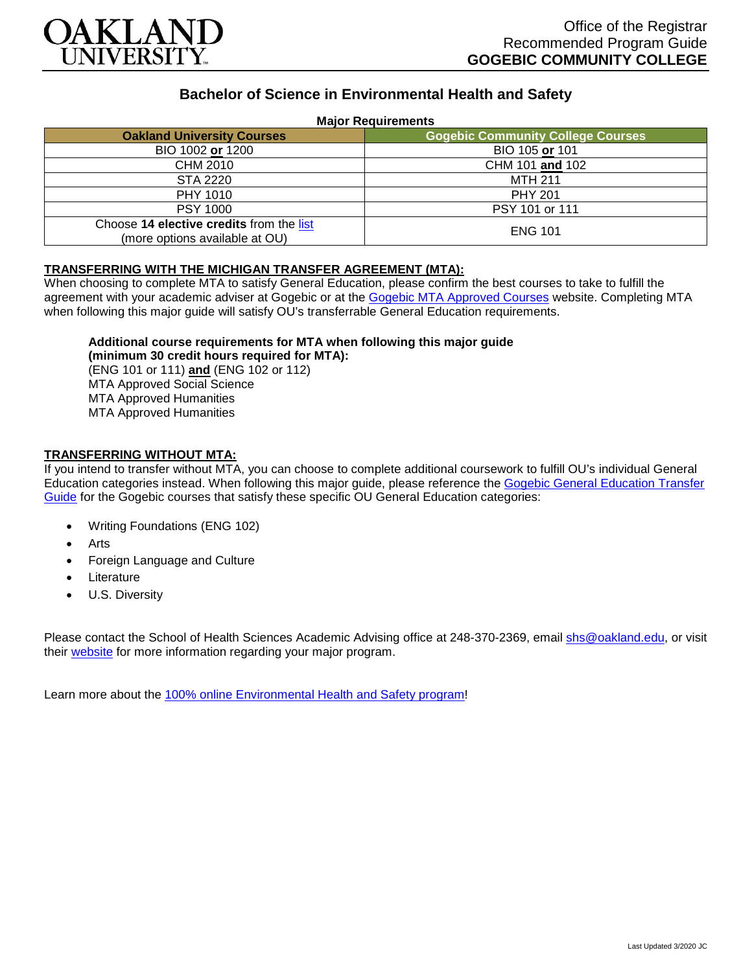

# **Bachelor of Science in Environmental Health and Safety**

#### **Major Requirements**

| <b>Oakland University Courses</b>                                          | <b>Gogebic Community College Courses</b> |
|----------------------------------------------------------------------------|------------------------------------------|
| BIO 1002 or 1200                                                           | BIO 105 or 101                           |
| CHM 2010                                                                   | CHM 101 and 102                          |
| STA 2220                                                                   | MTH 211                                  |
| <b>PHY 1010</b>                                                            | <b>PHY 201</b>                           |
| <b>PSY 1000</b>                                                            | PSY 101 or 111                           |
| Choose 14 elective credits from the list<br>(more options available at OU) | <b>ENG 101</b>                           |

#### **TRANSFERRING WITH THE MICHIGAN TRANSFER AGREEMENT (MTA):**

When choosing to complete MTA to satisfy General Education, please confirm the best courses to take to fulfill the agreement with your academic adviser at Gogebic or at the [Gogebic MTA Approved Courses](https://www.gogebic.edu/Academics/transferinformation.html) website. Completing MTA when following this major guide will satisfy OU's transferrable General Education requirements.

### **Additional course requirements for MTA when following this major guide**

**(minimum 30 credit hours required for MTA):** (ENG 101 or 111) **and** (ENG 102 or 112) MTA Approved Social Science MTA Approved Humanities MTA Approved Humanities

## **TRANSFERRING WITHOUT MTA:**

If you intend to transfer without MTA, you can choose to complete additional coursework to fulfill OU's individual General Education categories instead. When following this major guide, please reference the [Gogebic General Education Transfer](https://www.oakland.edu/Assets/Oakland/program-guides/gogebic-community-college/university-general-education-requirements/Gogebic%20Gen%20Ed.pdf)  [Guide](https://www.oakland.edu/Assets/Oakland/program-guides/gogebic-community-college/university-general-education-requirements/Gogebic%20Gen%20Ed.pdf) for the Gogebic courses that satisfy these specific OU General Education categories:

- Writing Foundations (ENG 102)
- **Arts**
- Foreign Language and Culture
- **Literature**
- U.S. Diversity

Please contact the School of Health Sciences Academic Advising office at 248-370-2369, email [shs@oakland.edu,](mailto:shs@oakland.edu) or visit their [website](http://www.oakland.edu/shs/advising) for more information regarding your major program.

Learn more about the [100% online Environmental Health and Safety program!](https://www.oakland.edu/online/undergraduate-degree-programs/ehs/)